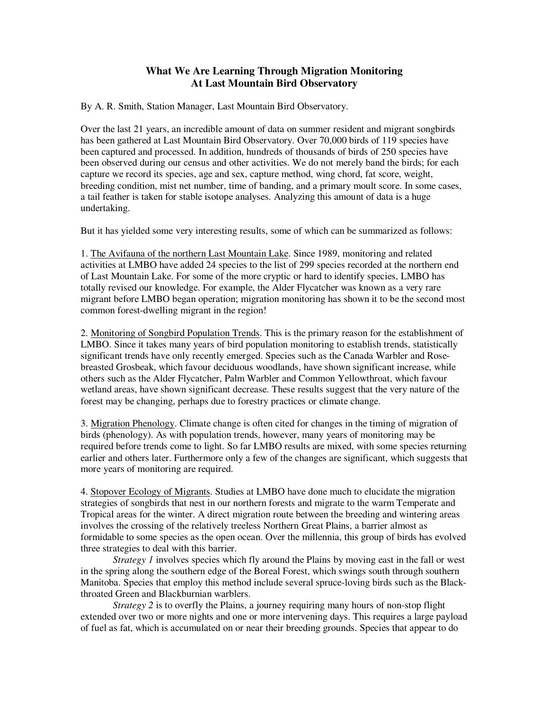## **What We Are Learning Through Migration Monitoring At Last Mountain Bird Observatory**

By A. R. Smith, Station Manager, Last Mountain Bird Observatory.

Over the last 21 years, an incredible amount of data on summer resident and migrant songbirds has been gathered at Last Mountain Bird Observatory. Over 70,000 birds of 119 species have been captured and processed. In addition, hundreds of thousands of birds of 250 species have been observed during our census and other activities. We do not merely band the birds; for each capture we record its species, age and sex, capture method, wing chord, fat score, weight, breeding condition, mist net number, time of banding, and a primary moult score. In some cases, a tail feather is taken for stable isotope analyses. Analyzing this amount of data is a huge undertaking.

But it has yielded some very interesting results, some of which can be summarized as follows:

1. The Avifauna of the northern Last Mountain Lake. Since 1989, monitoring and related activities at LMBO have added 24 species to the list of 299 species recorded at the northern end of Last Mountain Lake. For some of the more cryptic or hard to identify species, LMBO has totally revised our knowledge. For example, the Alder Flycatcher was known as a very rare migrant before LMBO began operation; migration monitoring has shown it to be the second most common forest-dwelling migrant in the region!

2. Monitoring of Songbird Population Trends. This is the primary reason for the establishment of LMBO. Since it takes many years of bird population monitoring to establish trends, statistically significant trends have only recently emerged. Species such as the Canada Warbler and Rosebreasted Grosbeak, which favour deciduous woodlands, have shown significant increase, while others such as the Alder Flycatcher, Palm Warbler and Common Yellowthroat, which favour wetland areas, have shown significant decrease. These results suggest that the very nature of the forest may be changing, perhaps due to forestry practices or climate change.

3. Migration Phenology. Climate change is often cited for changes in the timing of migration of birds (phenology). As with population trends, however, many years of monitoring may be required before trends come to light. So far LMBO results are mixed, with some species returning earlier and others later. Furthermore only a few of the changes are significant, which suggests that more years of monitoring are required.

4. Stopover Ecology of Migrants. Studies at LMBO have done much to elucidate the migration strategies of songbirds that nest in our northern forests and migrate to the warm Temperate and Tropical areas for the winter. A direct migration route between the breeding and wintering areas involves the crossing of the relatively treeless Northern Great Plains, a barrier almost as formidable to some species as the open ocean. Over the millennia, this group of birds has evolved three strategies to deal with this barrier.

*Strategy 1* involves species which fly around the Plains by moving east in the fall or west in the spring along the southern edge of the Boreal Forest, which swings south through southern Manitoba. Species that employ this method include several spruce-loving birds such as the Blackthroated Green and Blackburnian warblers.

*Strategy 2* is to overfly the Plains, a journey requiring many hours of non-stop flight extended over two or more nights and one or more intervening days. This requires a large payload of fuel as fat, which is accumulated on or near their breeding grounds. Species that appear to do